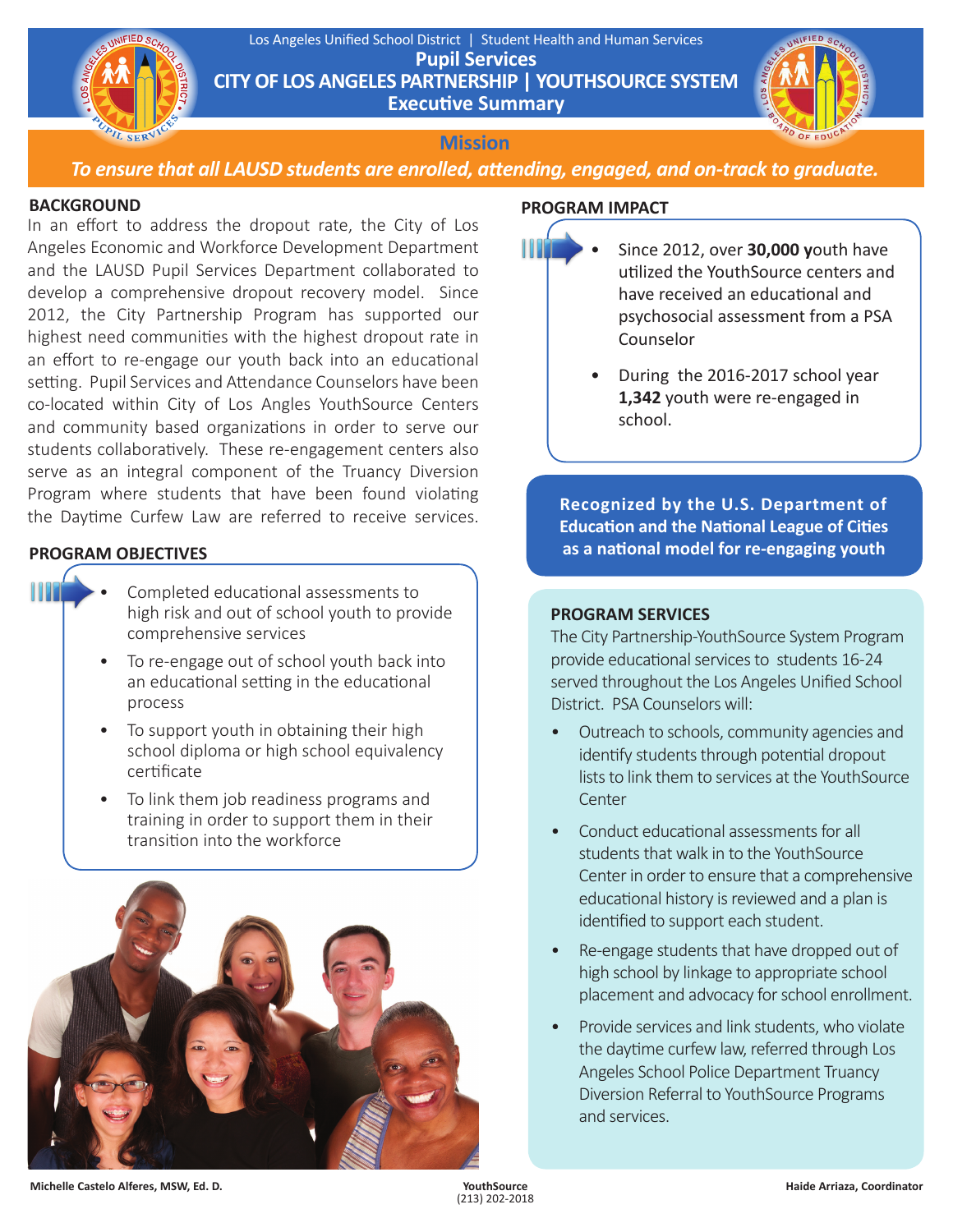



## **Mission**

*To ensure that all LAUSD students are enrolled, attending, engaged, and on-track to graduate.*

#### **BACKGROUND**

IL SERV

In an effort to address the dropout rate, the City of Los Angeles Economic and Workforce Development Department and the LAUSD Pupil Services Department collaborated to develop a comprehensive dropout recovery model. Since 2012, the City Partnership Program has supported our highest need communities with the highest dropout rate in an effort to re-engage our youth back into an educational setting. Pupil Services and Attendance Counselors have been co-located within City of Los Angles YouthSource Centers and community based organizations in order to serve our students collaboratively. These re-engagement centers also serve as an integral component of the Truancy Diversion Program where students that have been found violating the Daytime Curfew Law are referred to receive services.

#### **PROGRAM OBJECTIVES**

- Completed educational assessments to high risk and out of school youth to provide comprehensive services
	- To re-engage out of school youth back into an educational setting in the educational process
	- To support youth in obtaining their high school diploma or high school equivalency certificate
	- To link them job readiness programs and training in order to support them in their transition into the workforce



#### **PROGRAM IMPACT**



- Since 2012, over **30,000 y**outh have utilized the YouthSource centers and have received an educational and psychosocial assessment from a PSA Counselor
- During the 2016-2017 school year **1,342** youth were re-engaged in school.

**Recognized by the U.S. Department of Education and the National League of Cities as a national model for re-engaging youth** 

#### **PROGRAM SERVICES**

The City Partnership-YouthSource System Program provide educational services to students 16-24 served throughout the Los Angeles Unified School District. PSA Counselors will:

- Outreach to schools, community agencies and identify students through potential dropout lists to link them to services at the YouthSource **Center**
- Conduct educational assessments for all students that walk in to the YouthSource Center in order to ensure that a comprehensive educational history is reviewed and a plan is identified to support each student.
- Re-engage students that have dropped out of high school by linkage to appropriate school placement and advocacy for school enrollment.
- Provide services and link students, who violate the daytime curfew law, referred through Los Angeles School Police Department Truancy Diversion Referral to YouthSource Programs and services.

**Michelle Castelo Alferes, MSW, Ed. D. YouthSource Haide Arriaza, Coordinator**